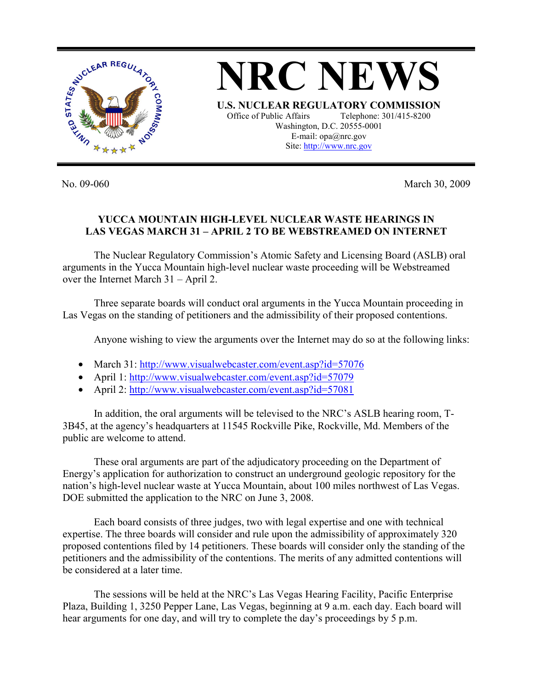

**NRC NEWS U.S. NUCLEAR REGULATORY COMMISSION** Office of Public Affairs Telephone: 301/415-8200 Washington, D.C. 20555-0001 E-mail: opa@nrc.gov Site: http://www.nrc.gov

No. 09-060 March 30, 2009

## **YUCCA MOUNTAIN HIGH-LEVEL NUCLEAR WASTE HEARINGS IN LAS VEGAS MARCH 31 – APRIL 2 TO BE WEBSTREAMED ON INTERNET**

 The Nuclear Regulatory Commission's Atomic Safety and Licensing Board (ASLB) oral arguments in the Yucca Mountain high-level nuclear waste proceeding will be Webstreamed over the Internet March 31 – April 2.

 Three separate boards will conduct oral arguments in the Yucca Mountain proceeding in Las Vegas on the standing of petitioners and the admissibility of their proposed contentions.

Anyone wishing to view the arguments over the Internet may do so at the following links:

- March 31: http://www.visualwebcaster.com/event.asp?id=57076
- April 1: http://www.visualwebcaster.com/event.asp?id=57079
- April 2: http://www.visualwebcaster.com/event.asp?id=57081

 In addition, the oral arguments will be televised to the NRC's ASLB hearing room, T-3B45, at the agency's headquarters at 11545 Rockville Pike, Rockville, Md. Members of the public are welcome to attend.

 These oral arguments are part of the adjudicatory proceeding on the Department of Energy's application for authorization to construct an underground geologic repository for the nation's high-level nuclear waste at Yucca Mountain, about 100 miles northwest of Las Vegas. DOE submitted the application to the NRC on June 3, 2008.

 Each board consists of three judges, two with legal expertise and one with technical expertise. The three boards will consider and rule upon the admissibility of approximately 320 proposed contentions filed by 14 petitioners. These boards will consider only the standing of the petitioners and the admissibility of the contentions. The merits of any admitted contentions will be considered at a later time.

 The sessions will be held at the NRC's Las Vegas Hearing Facility, Pacific Enterprise Plaza, Building 1, 3250 Pepper Lane, Las Vegas, beginning at 9 a.m. each day. Each board will hear arguments for one day, and will try to complete the day's proceedings by 5 p.m.